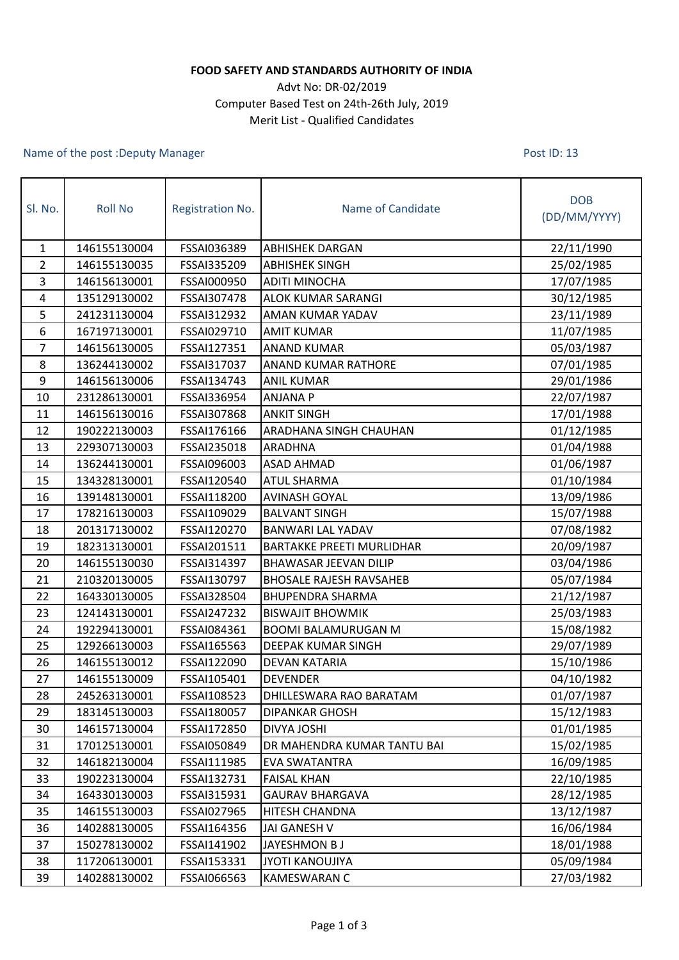## **FOOD SAFETY AND STANDARDS AUTHORITY OF INDIA**

## Advt No: DR-02/2019 Computer Based Test on 24th-26th July, 2019 Merit List - Qualified Candidates

## Name of the post :Deputy Manager

Post ID: 13

| Sl. No.        | <b>Roll No</b> | Registration No. | Name of Candidate                | <b>DOB</b><br>(DD/MM/YYYY) |
|----------------|----------------|------------------|----------------------------------|----------------------------|
| $\mathbf{1}$   | 146155130004   | FSSAI036389      | <b>ABHISHEK DARGAN</b>           | 22/11/1990                 |
| $\overline{2}$ | 146155130035   | FSSAI335209      | <b>ABHISHEK SINGH</b>            | 25/02/1985                 |
| 3              | 146156130001   | FSSAI000950      | <b>ADITI MINOCHA</b>             | 17/07/1985                 |
| $\overline{4}$ | 135129130002   | FSSAI307478      | <b>ALOK KUMAR SARANGI</b>        | 30/12/1985                 |
| 5              | 241231130004   | FSSAI312932      | AMAN KUMAR YADAV                 | 23/11/1989                 |
| 6              | 167197130001   | FSSAI029710      | <b>AMIT KUMAR</b>                | 11/07/1985                 |
| 7              | 146156130005   | FSSAI127351      | <b>ANAND KUMAR</b>               | 05/03/1987                 |
| 8              | 136244130002   | FSSAI317037      | <b>ANAND KUMAR RATHORE</b>       | 07/01/1985                 |
| 9              | 146156130006   | FSSAI134743      | <b>ANIL KUMAR</b>                | 29/01/1986                 |
| 10             | 231286130001   | FSSAI336954      | <b>ANJANA P</b>                  | 22/07/1987                 |
| 11             | 146156130016   | FSSAI307868      | <b>ANKIT SINGH</b>               | 17/01/1988                 |
| 12             | 190222130003   | FSSAI176166      | ARADHANA SINGH CHAUHAN           | 01/12/1985                 |
| 13             | 229307130003   | FSSAI235018      | <b>ARADHNA</b>                   | 01/04/1988                 |
| 14             | 136244130001   | FSSAI096003      | <b>ASAD AHMAD</b>                | 01/06/1987                 |
| 15             | 134328130001   | FSSAI120540      | <b>ATUL SHARMA</b>               | 01/10/1984                 |
| 16             | 139148130001   | FSSAI118200      | <b>AVINASH GOYAL</b>             | 13/09/1986                 |
| 17             | 178216130003   | FSSAI109029      | <b>BALVANT SINGH</b>             | 15/07/1988                 |
| 18             | 201317130002   | FSSAI120270      | <b>BANWARI LAL YADAV</b>         | 07/08/1982                 |
| 19             | 182313130001   | FSSAI201511      | <b>BARTAKKE PREETI MURLIDHAR</b> | 20/09/1987                 |
| 20             | 146155130030   | FSSAI314397      | <b>BHAWASAR JEEVAN DILIP</b>     | 03/04/1986                 |
| 21             | 210320130005   | FSSAI130797      | <b>BHOSALE RAJESH RAVSAHEB</b>   | 05/07/1984                 |
| 22             | 164330130005   | FSSAI328504      | <b>BHUPENDRA SHARMA</b>          | 21/12/1987                 |
| 23             | 124143130001   | FSSAI247232      | <b>BISWAJIT BHOWMIK</b>          | 25/03/1983                 |
| 24             | 192294130001   | FSSAI084361      | <b>BOOMI BALAMURUGAN M</b>       | 15/08/1982                 |
| 25             | 129266130003   | FSSAI165563      | <b>DEEPAK KUMAR SINGH</b>        | 29/07/1989                 |
| 26             | 146155130012   | FSSAI122090      | <b>DEVAN KATARIA</b>             | 15/10/1986                 |
| 27             | 146155130009   | FSSAI105401      | <b>DEVENDER</b>                  | 04/10/1982                 |
| 28             | 245263130001   | FSSAI108523      | DHILLESWARA RAO BARATAM          | 01/07/1987                 |
| 29             | 183145130003   | FSSAI180057      | <b>DIPANKAR GHOSH</b>            | 15/12/1983                 |
| 30             | 146157130004   | FSSAI172850      | DIVYA JOSHI                      | 01/01/1985                 |
| 31             | 170125130001   | FSSAI050849      | DR MAHENDRA KUMAR TANTU BAI      | 15/02/1985                 |
| 32             | 146182130004   | FSSAI111985      | <b>EVA SWATANTRA</b>             | 16/09/1985                 |
| 33             | 190223130004   | FSSAI132731      | <b>FAISAL KHAN</b>               | 22/10/1985                 |
| 34             | 164330130003   | FSSAI315931      | <b>GAURAV BHARGAVA</b>           | 28/12/1985                 |
| 35             | 146155130003   | FSSAI027965      | <b>HITESH CHANDNA</b>            | 13/12/1987                 |
| 36             | 140288130005   | FSSAI164356      | JAI GANESH V                     | 16/06/1984                 |
| 37             | 150278130002   | FSSAI141902      | JAYESHMON B J                    | 18/01/1988                 |
| 38             | 117206130001   | FSSAI153331      | <b>JYOTI KANOUJIYA</b>           | 05/09/1984                 |
| 39             | 140288130002   | FSSAI066563      | <b>KAMESWARAN C</b>              | 27/03/1982                 |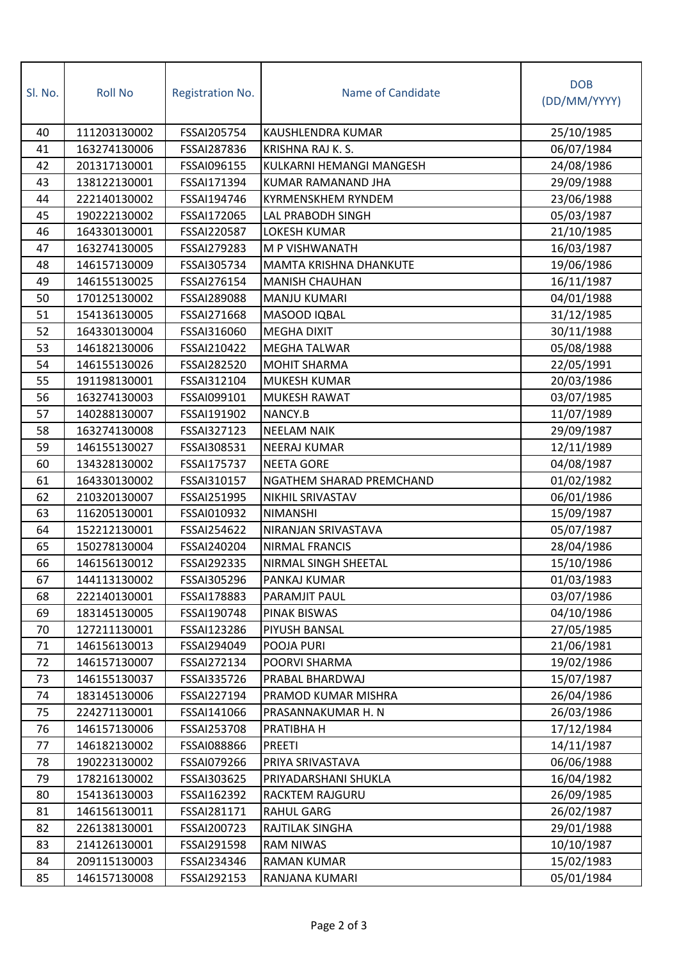| Sl. No. | <b>Roll No</b> | <b>Registration No.</b> | Name of Candidate             | <b>DOB</b><br>(DD/MM/YYYY) |
|---------|----------------|-------------------------|-------------------------------|----------------------------|
| 40      | 111203130002   | FSSAI205754             | KAUSHLENDRA KUMAR             | 25/10/1985                 |
| 41      | 163274130006   | FSSAI287836             | KRISHNA RAJ K. S.             | 06/07/1984                 |
| 42      | 201317130001   | FSSAI096155             | KULKARNI HEMANGI MANGESH      | 24/08/1986                 |
| 43      | 138122130001   | FSSAI171394             | KUMAR RAMANAND JHA            | 29/09/1988                 |
| 44      | 222140130002   | FSSAI194746             | <b>KYRMENSKHEM RYNDEM</b>     | 23/06/1988                 |
| 45      | 190222130002   | FSSAI172065             | LAL PRABODH SINGH             | 05/03/1987                 |
| 46      | 164330130001   | FSSAI220587             | <b>LOKESH KUMAR</b>           | 21/10/1985                 |
| 47      | 163274130005   | FSSAI279283             | M P VISHWANATH                | 16/03/1987                 |
| 48      | 146157130009   | FSSAI305734             | <b>MAMTA KRISHNA DHANKUTE</b> | 19/06/1986                 |
| 49      | 146155130025   | FSSAI276154             | <b>MANISH CHAUHAN</b>         | 16/11/1987                 |
| 50      | 170125130002   | FSSAI289088             | <b>MANJU KUMARI</b>           | 04/01/1988                 |
| 51      | 154136130005   | FSSAI271668             | MASOOD IQBAL                  | 31/12/1985                 |
| 52      | 164330130004   | FSSAI316060             | <b>MEGHA DIXIT</b>            | 30/11/1988                 |
| 53      | 146182130006   | FSSAI210422             | <b>MEGHA TALWAR</b>           | 05/08/1988                 |
| 54      | 146155130026   | FSSAI282520             | <b>MOHIT SHARMA</b>           | 22/05/1991                 |
| 55      | 191198130001   | FSSAI312104             | <b>MUKESH KUMAR</b>           | 20/03/1986                 |
| 56      | 163274130003   | FSSAI099101             | <b>MUKESH RAWAT</b>           | 03/07/1985                 |
| 57      | 140288130007   | FSSAI191902             | NANCY.B                       | 11/07/1989                 |
| 58      | 163274130008   | FSSAI327123             | <b>NEELAM NAIK</b>            | 29/09/1987                 |
| 59      | 146155130027   | FSSAI308531             | <b>NEERAJ KUMAR</b>           | 12/11/1989                 |
| 60      | 134328130002   | FSSAI175737             | <b>NEETA GORE</b>             | 04/08/1987                 |
| 61      | 164330130002   | FSSAI310157             | NGATHEM SHARAD PREMCHAND      | 01/02/1982                 |
| 62      | 210320130007   | FSSAI251995             | NIKHIL SRIVASTAV              | 06/01/1986                 |
| 63      | 116205130001   | FSSAI010932             | <b>NIMANSHI</b>               | 15/09/1987                 |
| 64      | 152212130001   | FSSAI254622             | NIRANJAN SRIVASTAVA           | 05/07/1987                 |
| 65      | 150278130004   | FSSAI240204             | <b>NIRMAL FRANCIS</b>         | 28/04/1986                 |
| 66      | 146156130012   | FSSAI292335             | NIRMAL SINGH SHEETAL          | 15/10/1986                 |
| 67      | 144113130002   | FSSAI305296             | PANKAJ KUMAR                  | 01/03/1983                 |
| 68      | 222140130001   | FSSAI178883             | PARAMJIT PAUL                 | 03/07/1986                 |
| 69      | 183145130005   | FSSAI190748             | PINAK BISWAS                  | 04/10/1986                 |
| 70      | 127211130001   | FSSAI123286             | PIYUSH BANSAL                 | 27/05/1985                 |
| 71      | 146156130013   | FSSAI294049             | POOJA PURI                    | 21/06/1981                 |
| 72      | 146157130007   | FSSAI272134             | POORVI SHARMA                 | 19/02/1986                 |
| 73      | 146155130037   | FSSAI335726             | PRABAL BHARDWAJ               | 15/07/1987                 |
| 74      | 183145130006   | FSSAI227194             | PRAMOD KUMAR MISHRA           | 26/04/1986                 |
| 75      | 224271130001   | FSSAI141066             | PRASANNAKUMAR H. N            | 26/03/1986                 |
| 76      | 146157130006   | FSSAI253708             | PRATIBHA H                    | 17/12/1984                 |
| 77      | 146182130002   | FSSAI088866             | <b>PREETI</b>                 | 14/11/1987                 |
| 78      | 190223130002   | FSSAI079266             | PRIYA SRIVASTAVA              | 06/06/1988                 |
| 79      | 178216130002   | FSSAI303625             | PRIYADARSHANI SHUKLA          | 16/04/1982                 |
| 80      | 154136130003   | FSSAI162392             | RACKTEM RAJGURU               | 26/09/1985                 |
| 81      | 146156130011   | FSSAI281171             | <b>RAHUL GARG</b>             | 26/02/1987                 |
| 82      | 226138130001   | FSSAI200723             | RAJTILAK SINGHA               | 29/01/1988                 |
| 83      | 214126130001   | FSSAI291598             | <b>RAM NIWAS</b>              | 10/10/1987                 |
| 84      | 209115130003   | FSSAI234346             | <b>RAMAN KUMAR</b>            | 15/02/1983                 |
| 85      | 146157130008   | FSSAI292153             | RANJANA KUMARI                | 05/01/1984                 |